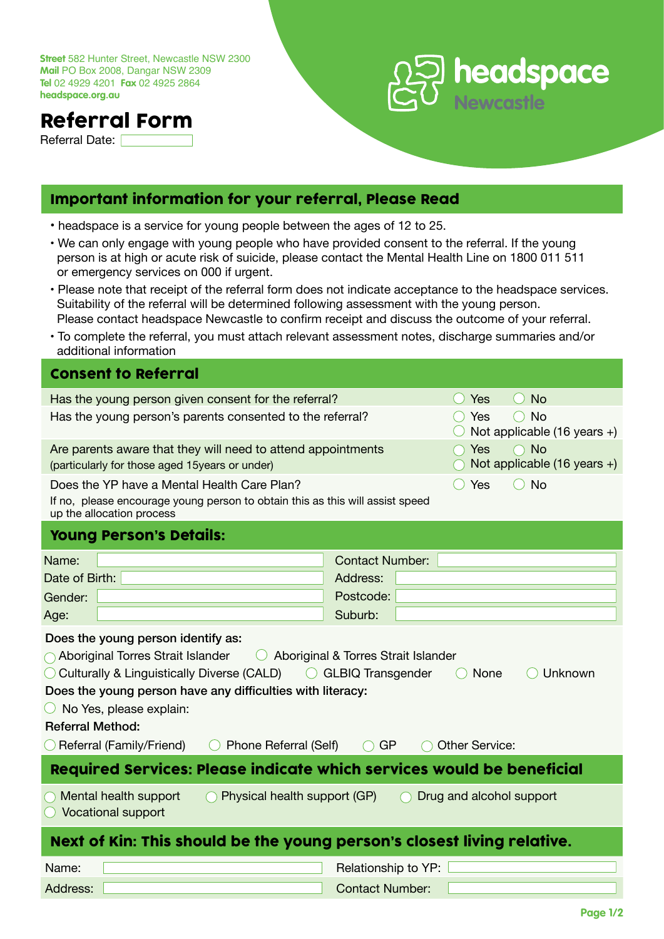**Street** 582 Hunter Street, Newcastle NSW 2300 **Mail** PO Box 2008, Dangar NSW 2309 **Tel** 02 4929 4201 **Fax** 02 4925 2864 **headspace.org.au**

## Referral Form

Referral Date: [



## Important information for your referral, Please Read

- headspace is a service for young people between the ages of 12 to 25.
- We can only engage with young people who have provided consent to the referral. If the young person is at high or acute risk of suicide, please contact the Mental Health Line on 1800 011 511 or emergency services on 000 if urgent.
- Please note that receipt of the referral form does not indicate acceptance to the headspace services. Suitability of the referral will be determined following assessment with the young person. Please contact headspace Newcastle to confirm receipt and discuss the outcome of your referral.
- To complete the referral, you must attach relevant assessment notes, discharge summaries and/or additional information

| <b>Consent to Referral</b>                                                                                                                                                                                                                                                                                                                                                                                                                                                                         |                                                                      |  |
|----------------------------------------------------------------------------------------------------------------------------------------------------------------------------------------------------------------------------------------------------------------------------------------------------------------------------------------------------------------------------------------------------------------------------------------------------------------------------------------------------|----------------------------------------------------------------------|--|
| Has the young person given consent for the referral?                                                                                                                                                                                                                                                                                                                                                                                                                                               | Yes<br><b>No</b><br>$($ )                                            |  |
| Has the young person's parents consented to the referral?                                                                                                                                                                                                                                                                                                                                                                                                                                          | <b>No</b><br>Yes<br>Not applicable $(16 \text{ years} +)$            |  |
| Are parents aware that they will need to attend appointments<br>(particularly for those aged 15years or under)                                                                                                                                                                                                                                                                                                                                                                                     | $\bigcap$ No<br><b>Yes</b><br>Not applicable $(16 \text{ years } +)$ |  |
| Yes<br>$()$ No<br>Does the YP have a Mental Health Care Plan?<br>If no, please encourage young person to obtain this as this will assist speed<br>up the allocation process                                                                                                                                                                                                                                                                                                                        |                                                                      |  |
| <b>Young Person's Details:</b>                                                                                                                                                                                                                                                                                                                                                                                                                                                                     |                                                                      |  |
| Name:                                                                                                                                                                                                                                                                                                                                                                                                                                                                                              | <b>Contact Number:</b>                                               |  |
| Date of Birth:                                                                                                                                                                                                                                                                                                                                                                                                                                                                                     | Address:                                                             |  |
| Gender:                                                                                                                                                                                                                                                                                                                                                                                                                                                                                            | Postcode:                                                            |  |
| Age:                                                                                                                                                                                                                                                                                                                                                                                                                                                                                               | Suburb:                                                              |  |
| Does the young person identify as:<br>$\bigcap$ Aboriginal Torres Strait Islander<br>Aboriginal & Torres Strait Islander<br>$\left(\begin{array}{c} \end{array}\right)$<br>◯ Culturally & Linguistically Diverse (CALD)<br>◯ GLBIQ Transgender<br><b>None</b><br>Unknown<br>Does the young person have any difficulties with literacy:<br>$\bigcirc$ No Yes, please explain:<br><b>Referral Method:</b><br>Referral (Family/Friend)<br><b>Other Service:</b><br>Phone Referral (Self)<br><b>GP</b> |                                                                      |  |
| Required Services: Please indicate which services would be beneficial                                                                                                                                                                                                                                                                                                                                                                                                                              |                                                                      |  |
| Mental health support<br>Physical health support (GP)<br>Drug and alcohol support<br><b>Vocational support</b>                                                                                                                                                                                                                                                                                                                                                                                     |                                                                      |  |
| Next of Kin: This should be the young person's closest living relative.                                                                                                                                                                                                                                                                                                                                                                                                                            |                                                                      |  |
| Name:                                                                                                                                                                                                                                                                                                                                                                                                                                                                                              | Relationship to YP:                                                  |  |
| Address:                                                                                                                                                                                                                                                                                                                                                                                                                                                                                           | <b>Contact Number:</b>                                               |  |